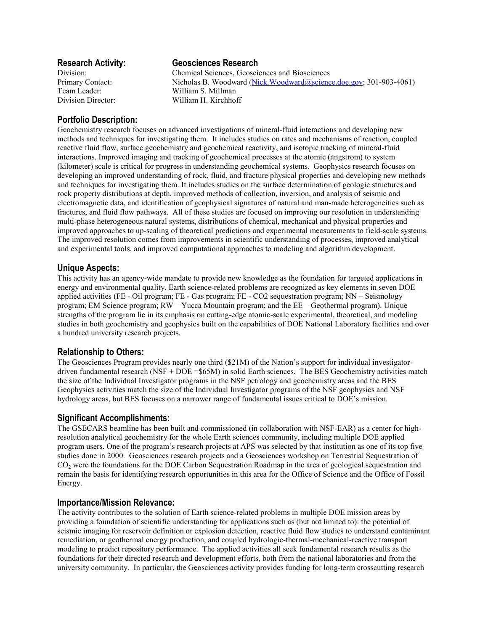Team Leader: William S. Millman

# **Research Activity: Geosciences Research**

Division: Chemical Sciences, Geosciences and Biosciences Primary Contact: Nicholas B. Woodward (Nick.Woodward ascience.doe.gov; 301-903-4061) Division Director: William H. Kirchhoff

# **Portfolio Description:**

Geochemistry research focuses on advanced investigations of mineral-fluid interactions and developing new methods and techniques for investigating them. It includes studies on rates and mechanisms of reaction, coupled reactive fluid flow, surface geochemistry and geochemical reactivity, and isotopic tracking of mineral-fluid interactions. Improved imaging and tracking of geochemical processes at the atomic (angstrom) to system (kilometer) scale is critical for progress in understanding geochemical systems. Geophysics research focuses on developing an improved understanding of rock, fluid, and fracture physical properties and developing new methods and techniques for investigating them. It includes studies on the surface determination of geologic structures and rock property distributions at depth, improved methods of collection, inversion, and analysis of seismic and electromagnetic data, and identification of geophysical signatures of natural and man-made heterogeneities such as fractures, and fluid flow pathways. All of these studies are focused on improving our resolution in understanding multi-phase heterogeneous natural systems, distributions of chemical, mechanical and physical properties and improved approaches to up-scaling of theoretical predictions and experimental measurements to field-scale systems. The improved resolution comes from improvements in scientific understanding of processes, improved analytical and experimental tools, and improved computational approaches to modeling and algorithm development.

# **Unique Aspects:**

This activity has an agency-wide mandate to provide new knowledge as the foundation for targeted applications in energy and environmental quality. Earth science-related problems are recognized as key elements in seven DOE applied activities (FE - Oil program; FE - Gas program; FE - CO2 sequestration program; NN – Seismology program; EM Science program; RW – Yucca Mountain program; and the EE – Geothermal program). Unique strengths of the program lie in its emphasis on cutting-edge atomic-scale experimental, theoretical, and modeling studies in both geochemistry and geophysics built on the capabilities of DOE National Laboratory facilities and over a hundred university research projects.

## **Relationship to Others:**

The Geosciences Program provides nearly one third (\$21M) of the Nation's support for individual investigatordriven fundamental research (NSF + DOE =\$65M) in solid Earth sciences. The BES Geochemistry activities match the size of the Individual Investigator programs in the NSF petrology and geochemistry areas and the BES Geophysics activities match the size of the Individual Investigator programs of the NSF geophysics and NSF hydrology areas, but BES focuses on a narrower range of fundamental issues critical to DOE's mission.

## **Significant Accomplishments:**

The GSECARS beamline has been built and commissioned (in collaboration with NSF-EAR) as a center for highresolution analytical geochemistry for the whole Earth sciences community, including multiple DOE applied program users. One of the program's research projects at APS was selected by that institution as one of its top five studies done in 2000. Geosciences research projects and a Geosciences workshop on Terrestrial Sequestration of CO<sub>2</sub> were the foundations for the DOE Carbon Sequestration Roadmap in the area of geological sequestration and remain the basis for identifying research opportunities in this area for the Office of Science and the Office of Fossil Energy.

### **Importance/Mission Relevance:**

The activity contributes to the solution of Earth science-related problems in multiple DOE mission areas by providing a foundation of scientific understanding for applications such as (but not limited to): the potential of seismic imaging for reservoir definition or explosion detection, reactive fluid flow studies to understand contaminant remediation, or geothermal energy production, and coupled hydrologic-thermal-mechanical-reactive transport modeling to predict repository performance. The applied activities all seek fundamental research results as the foundations for their directed research and development efforts, both from the national laboratories and from the university community. In particular, the Geosciences activity provides funding for long-term crosscutting research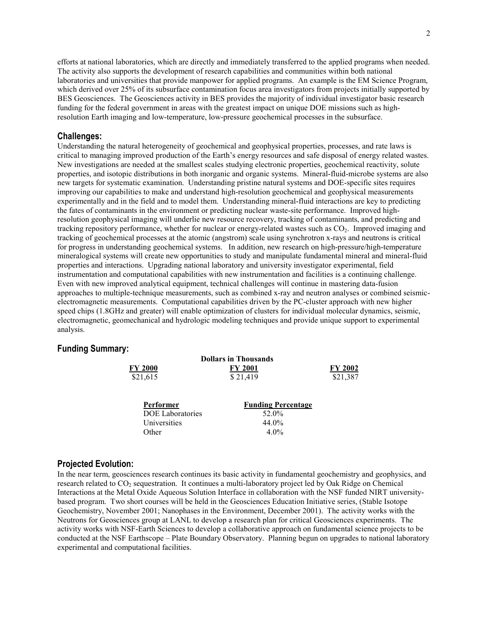efforts at national laboratories, which are directly and immediately transferred to the applied programs when needed. The activity also supports the development of research capabilities and communities within both national laboratories and universities that provide manpower for applied programs. An example is the EM Science Program, which derived over 25% of its subsurface contamination focus area investigators from projects initially supported by BES Geosciences. The Geosciences activity in BES provides the majority of individual investigator basic research funding for the federal government in areas with the greatest impact on unique DOE missions such as highresolution Earth imaging and low-temperature, low-pressure geochemical processes in the subsurface.

#### **Challenges:**

Understanding the natural heterogeneity of geochemical and geophysical properties, processes, and rate laws is critical to managing improved production of the Earth's energy resources and safe disposal of energy related wastes. New investigations are needed at the smallest scales studying electronic properties, geochemical reactivity, solute properties, and isotopic distributions in both inorganic and organic systems. Mineral-fluid-microbe systems are also new targets for systematic examination. Understanding pristine natural systems and DOE-specific sites requires improving our capabilities to make and understand high-resolution geochemical and geophysical measurements experimentally and in the field and to model them. Understanding mineral-fluid interactions are key to predicting the fates of contaminants in the environment or predicting nuclear waste-site performance. Improved highresolution geophysical imaging will underlie new resource recovery, tracking of contaminants, and predicting and tracking repository performance, whether for nuclear or energy-related wastes such as CO<sub>2</sub>. Improved imaging and tracking of geochemical processes at the atomic (angstrom) scale using synchrotron x-rays and neutrons is critical for progress in understanding geochemical systems. In addition, new research on high-pressure/high-temperature mineralogical systems will create new opportunities to study and manipulate fundamental mineral and mineral-fluid properties and interactions. Upgrading national laboratory and university investigator experimental, field instrumentation and computational capabilities with new instrumentation and facilities is a continuing challenge. Even with new improved analytical equipment, technical challenges will continue in mastering data-fusion approaches to multiple-technique measurements, such as combined x-ray and neutron analyses or combined seismicelectromagnetic measurements. Computational capabilities driven by the PC-cluster approach with new higher speed chips (1.8GHz and greater) will enable optimization of clusters for individual molecular dynamics, seismic, electromagnetic, geomechanical and hydrologic modeling techniques and provide unique support to experimental analysis.

### **Funding Summary:**

| <b>Dollars in Thousands</b> |                |                |
|-----------------------------|----------------|----------------|
| FY 2000                     | <b>FY 2001</b> | <b>FY 2002</b> |
| \$21,615                    | \$21,419       | \$21,387       |
|                             |                |                |

| Performer               | <b>Funding Percentage</b> |
|-------------------------|---------------------------|
| <b>DOE</b> Laboratories | 52.0%                     |
| Universities            | 44.0%                     |
| Other                   | $4.0\%$                   |

#### **Projected Evolution:**

In the near term, geosciences research continues its basic activity in fundamental geochemistry and geophysics, and research related to CO<sub>2</sub> sequestration. It continues a multi-laboratory project led by Oak Ridge on Chemical Interactions at the Metal Oxide Aqueous Solution Interface in collaboration with the NSF funded NIRT universitybased program. Two short courses will be held in the Geosciences Education Initiative series, (Stable Isotope Geochemistry, November 2001; Nanophases in the Environment, December 2001). The activity works with the Neutrons for Geosciences group at LANL to develop a research plan for critical Geosciences experiments. The activity works with NSF-Earth Sciences to develop a collaborative approach on fundamental science projects to be conducted at the NSF Earthscope – Plate Boundary Observatory. Planning begun on upgrades to national laboratory experimental and computational facilities.